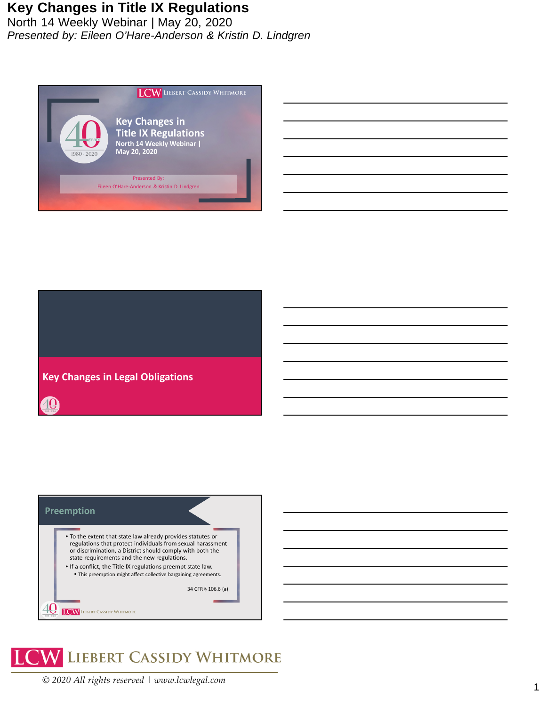North 14 Weekly Webinar | May 20, 2020 *Presented by: Eileen O'Hare-Anderson & Kristin D. Lindgren*









*© 2020 All rights reserved | www.lcwlegal.com*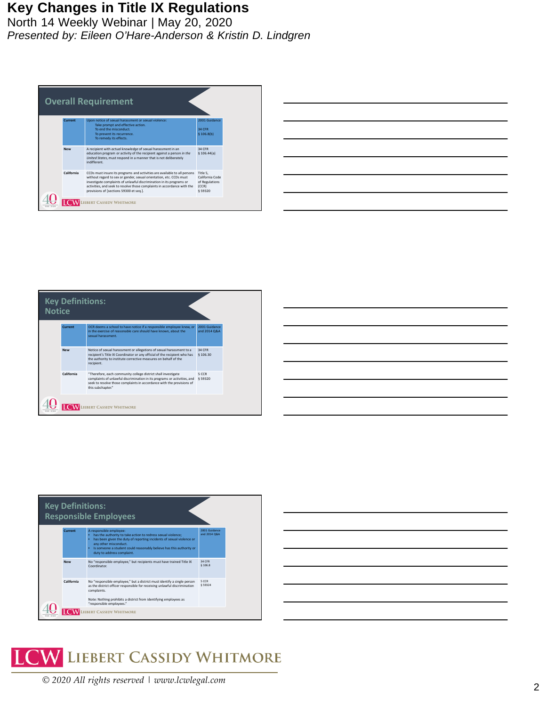| <b>Overall Requirement</b> |                                                                                                                                                                                                                                                                                                                                                |                                                                   |  |  |
|----------------------------|------------------------------------------------------------------------------------------------------------------------------------------------------------------------------------------------------------------------------------------------------------------------------------------------------------------------------------------------|-------------------------------------------------------------------|--|--|
| Current                    | Upon notice of sexual harassment or sexual violence:<br>Take prompt and effective action.<br>To end the misconduct.<br>To prevent its recurrence.<br>To remedy its effects.                                                                                                                                                                    | 2001 Guidance<br>34 CFR<br>\$106.8(b)                             |  |  |
| <b>New</b>                 | A recipient with actual knowledge of sexual harassment in an<br>education program or activity of the recipient against a person in the<br>United States, must respond in a manner that is not deliberately<br>indifferent.                                                                                                                     | 34 CFR<br>\$106.44(a)                                             |  |  |
| California                 | CCDs must insure its programs and activities are available to all persons<br>without regard to sex or gender, sexual orientation, etc. CCDs must<br>investigate complaints of unlawful discrimination in its programs or<br>activities, and seek to resolve those complaints in accordance with the<br>provisions of [sections 59300 et seq.]. | Title 5.<br>California Code<br>of Regulations<br>(CCR)<br>§ 59320 |  |  |
|                            | <b>BERT CASSIDY WHITMORE</b>                                                                                                                                                                                                                                                                                                                   |                                                                   |  |  |

| <u> 1989 - Andrea Santa Andrea Andrea Andrea Andrea Andrea Andrea Andrea Andrea Andrea Andrea Andrea Andrea Andr</u>                                                                                                                 |  |                                     |
|--------------------------------------------------------------------------------------------------------------------------------------------------------------------------------------------------------------------------------------|--|-------------------------------------|
|                                                                                                                                                                                                                                      |  |                                     |
| <u> 1989 - Johann Stoff, amerikansk fotograf (* 1989)</u>                                                                                                                                                                            |  |                                     |
|                                                                                                                                                                                                                                      |  | and the contract of the contract of |
| <u>. In the contract of the contract of the contract of the contract of the contract of the contract of the contract of the contract of the contract of the contract of the contract of the contract of the contract of the cont</u> |  |                                     |
|                                                                                                                                                                                                                                      |  |                                     |
|                                                                                                                                                                                                                                      |  |                                     |







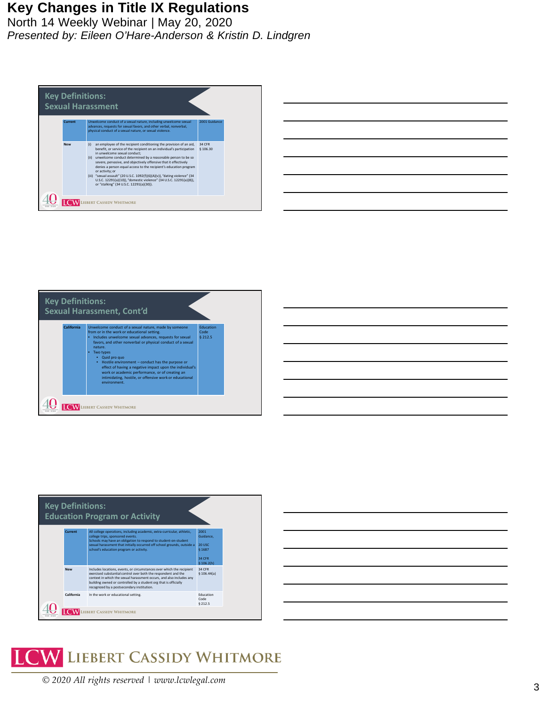| <b>Key Definitions:</b><br><b>Sexual Harassment</b> |            |                                                                                                                                                                                                                                                                                                                                                                                                                                                                                                                                                                                                                        |                    |  |  |  |
|-----------------------------------------------------|------------|------------------------------------------------------------------------------------------------------------------------------------------------------------------------------------------------------------------------------------------------------------------------------------------------------------------------------------------------------------------------------------------------------------------------------------------------------------------------------------------------------------------------------------------------------------------------------------------------------------------------|--------------------|--|--|--|
|                                                     | Current    | Unwelcome conduct of a sexual nature, including unwelcome sexual<br>advances, requests for sexual favors, and other verbal, nonverbal,<br>physical conduct of a sexual nature, or sexual violence.                                                                                                                                                                                                                                                                                                                                                                                                                     | 2001 Guidance      |  |  |  |
|                                                     | <b>New</b> | an employee of the recipient conditioning the provision of an aid,<br>(i)<br>benefit, or service of the recipient on an individual's participation<br>in unwelcome sexual conduct:<br>unwelcome conduct determined by a reasonable person to be so<br>(iii)<br>severe, pervasive, and objectively offensive that it effectively<br>denies a person equal access to the recipient's education program<br>or activity: or<br>(iii) "sexual assault" (20 U.S.C. 1092(f)(6)(A)(v)), "dating violence" (34<br>U.S.C. 12291(a)(10)), "domestic violence" (34 U.S.C. 12291(a)(8)),<br>or "stalking" (34 U.S.C. 12291(a)(30)). | 34 CFR<br>§ 106.30 |  |  |  |
|                                                     |            | <b>IEBERT CASSIDY WHITMORE</b>                                                                                                                                                                                                                                                                                                                                                                                                                                                                                                                                                                                         |                    |  |  |  |



| <b>Key Definitions:</b><br><b>Education Program or Activity</b> |                                                                                                                                                                                                                                                                                                                 |                                                                                                                                                                                                                                                                                                                                   |                                                                     |  |  |
|-----------------------------------------------------------------|-----------------------------------------------------------------------------------------------------------------------------------------------------------------------------------------------------------------------------------------------------------------------------------------------------------------|-----------------------------------------------------------------------------------------------------------------------------------------------------------------------------------------------------------------------------------------------------------------------------------------------------------------------------------|---------------------------------------------------------------------|--|--|
|                                                                 | Current<br>All college operations, including academic, extra-curricular, athletic,<br>college trips, sponsored events.<br>Schools may have an obligation to respond to student-on-student<br>sexual harassment that initially occurred off school grounds, outside a<br>school's education program or activity. |                                                                                                                                                                                                                                                                                                                                   | 2001<br>Guidance.<br>201150<br><b>§1687</b><br>34 CFR<br>\$106.2(h) |  |  |
|                                                                 | <b>New</b>                                                                                                                                                                                                                                                                                                      | Includes locations, events, or circumstances over which the recipient<br>exercised substantial control over both the respondent and the<br>context in which the sexual harassment occurs, and also includes any<br>building owned or controlled by a student org that is officially<br>recognized by a postsecondary institution. | 34 CFR<br>\$106.44(a)                                               |  |  |
|                                                                 | California                                                                                                                                                                                                                                                                                                      | In the work or educational setting.                                                                                                                                                                                                                                                                                               | Education<br>Code<br><b>§212.5</b>                                  |  |  |
|                                                                 |                                                                                                                                                                                                                                                                                                                 | RT CASSIDY WHITMORE                                                                                                                                                                                                                                                                                                               |                                                                     |  |  |



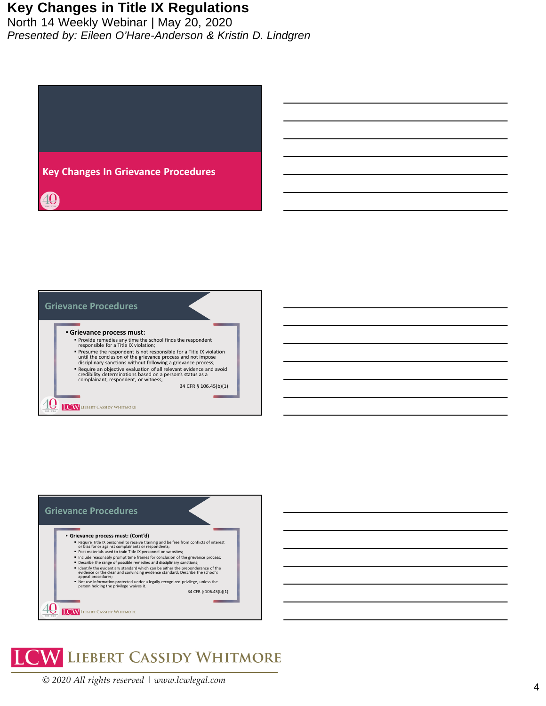





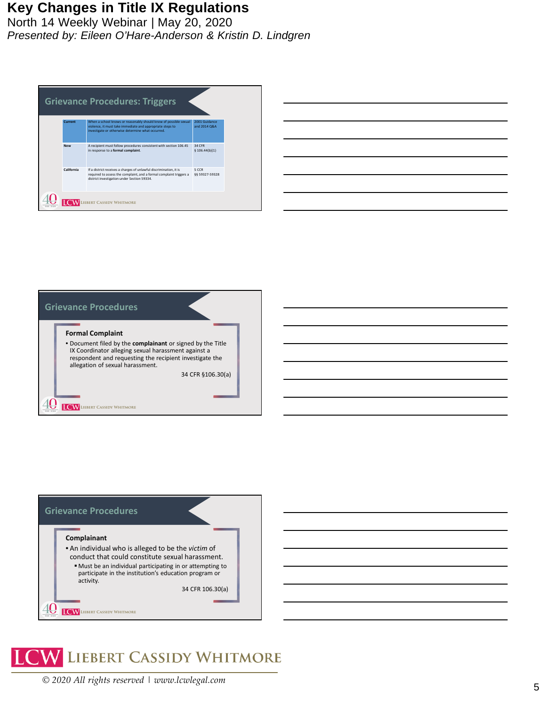| <b>Grievance Procedures: Triggers</b> |            |                                                                                                                                                                                          |                               |  |  |
|---------------------------------------|------------|------------------------------------------------------------------------------------------------------------------------------------------------------------------------------------------|-------------------------------|--|--|
|                                       | Current    | When a school knows or reasonably should know of possible sexual<br>violence, it must take immediate and appropriate steps to<br>investigate or otherwise determine what occurred.       | 2001 Guidance<br>and 2014 Q&A |  |  |
|                                       | <b>New</b> | A recipient must follow procedures consistent with section 106.45<br>in response to a formal complaint.                                                                                  | 34 CFR<br>\$106.44(b)(1)      |  |  |
|                                       | California | If a district receives a charges of unlawful discrimination, it is<br>required to assess the complaint, and a formal complaint triggers a<br>district investigation under Section 59334. | 5 CCR<br>66 59327-59328       |  |  |
|                                       |            | <b>EBERT CASSIDY WHITMORE</b>                                                                                                                                                            |                               |  |  |

|  | ______ |
|--|--------|
|  |        |
|  |        |





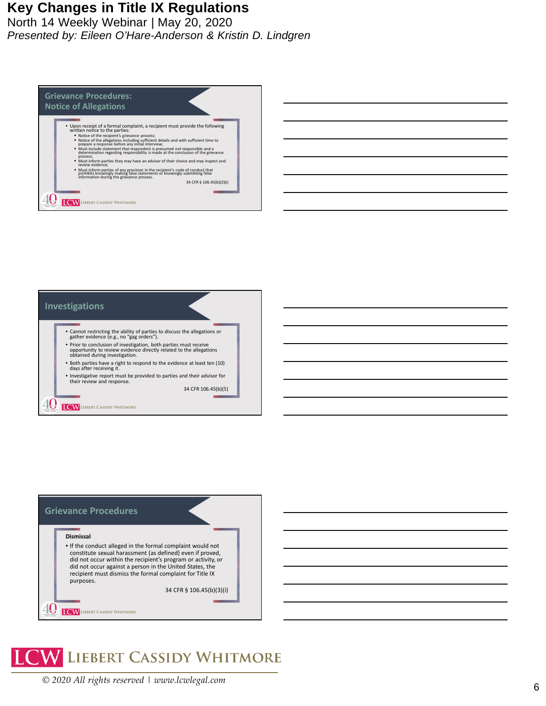| <b>Grievance Procedures:</b><br><b>Notice of Allegations</b>                                                                                                                                                                                                                                                                                                                                                                                                                                                                                                                                                                                                                                                                                                                                                                                                               |  |
|----------------------------------------------------------------------------------------------------------------------------------------------------------------------------------------------------------------------------------------------------------------------------------------------------------------------------------------------------------------------------------------------------------------------------------------------------------------------------------------------------------------------------------------------------------------------------------------------------------------------------------------------------------------------------------------------------------------------------------------------------------------------------------------------------------------------------------------------------------------------------|--|
| • Upon receipt of a formal complaint, a recipient must provide the following<br>written notice to the parties:<br>" Notice of the recipient's grievance process;<br>" Notice of the allegations including sufficient details and with sufficient time to<br>prepare a response before any initial interview;<br>" Must include statement that respondent is presumed not responsible and a determination regarding responsibility is made at the conclusion of the grievance<br>process;<br>" Must inform parties they may have an advisor of their choice and may inspect and<br>review evidence:<br>" Must inform parties of any provision in the recipient's code of conduct that<br>prohibits knowingly making false statements or knowingly submitting false<br>information during the grievance process.<br>34 CFR § 106.45(b)(2)(i)<br><b>BERT CASSIDY WHITMORE</b> |  |





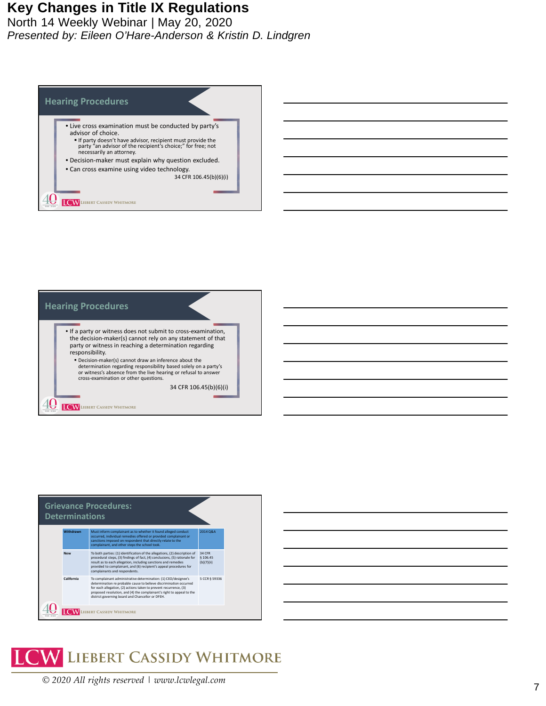



| Withdrawn<br>Must inform complainant as to whether it found alleged conduct<br>2014 Q&A<br>occurred, individual remedies offered or provided complainant or<br>sanctions imposed on respondent that directly relate to the<br>complainant, and other steps the school took.<br>To both parties: (1) identification of the allegations, (2) description of<br>34 CFR<br><b>New</b><br>procedural steps, (3) findings of fact, (4) conclusions, (5) rationale for<br>\$106.45<br>result as to each allegation, including sanctions and remedies<br>(b)(7)(ii)<br>provided to complainant, and (6) recipient's appeal procedures for<br>complainants and respondents.<br>California<br>To complainant administrative determination: (1) CEO/designee's<br>5 CCR § 59336<br>determination re probable cause to believe discrimination occurred<br>for each allegation, (2) actions taken to prevent recurrence, (3)<br>proposed resolution, and (4) the complainant's right to appeal to the<br>district governing board and Chancellor or DFEH. | <b>Grievance Procedures:</b><br><b>Determinations</b> |  |  |  |  |  |
|----------------------------------------------------------------------------------------------------------------------------------------------------------------------------------------------------------------------------------------------------------------------------------------------------------------------------------------------------------------------------------------------------------------------------------------------------------------------------------------------------------------------------------------------------------------------------------------------------------------------------------------------------------------------------------------------------------------------------------------------------------------------------------------------------------------------------------------------------------------------------------------------------------------------------------------------------------------------------------------------------------------------------------------------|-------------------------------------------------------|--|--|--|--|--|
|                                                                                                                                                                                                                                                                                                                                                                                                                                                                                                                                                                                                                                                                                                                                                                                                                                                                                                                                                                                                                                              |                                                       |  |  |  |  |  |
|                                                                                                                                                                                                                                                                                                                                                                                                                                                                                                                                                                                                                                                                                                                                                                                                                                                                                                                                                                                                                                              |                                                       |  |  |  |  |  |
|                                                                                                                                                                                                                                                                                                                                                                                                                                                                                                                                                                                                                                                                                                                                                                                                                                                                                                                                                                                                                                              |                                                       |  |  |  |  |  |

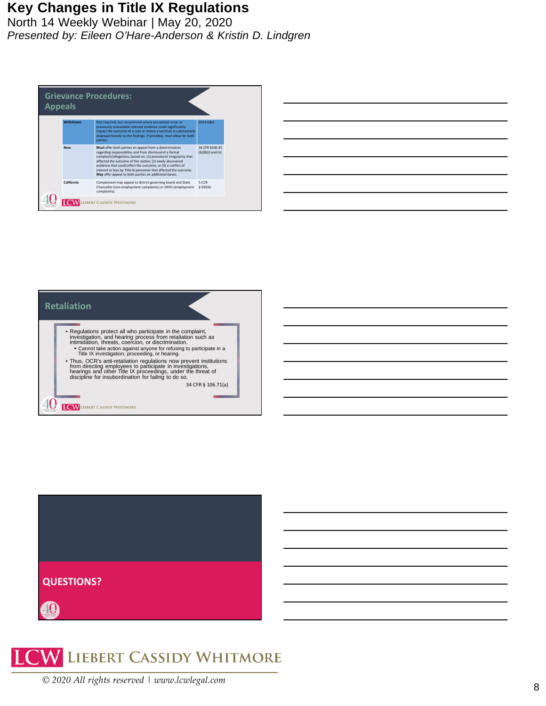North 14 Weekly Webinar | May 20, 2020 *Presented by: Eileen O'Hare-Anderson & Kristin D. Lindgren*



| <u> Andreas Andreas Andreas Andreas Andreas Andreas Andreas Andreas Andreas Andreas Andreas Andreas Andreas Andr</u> |  | _______ |  |
|----------------------------------------------------------------------------------------------------------------------|--|---------|--|
|                                                                                                                      |  |         |  |
|                                                                                                                      |  |         |  |
|                                                                                                                      |  |         |  |
|                                                                                                                      |  |         |  |
|                                                                                                                      |  |         |  |







*© 2020 All rights reserved | www.lcwlegal.com*